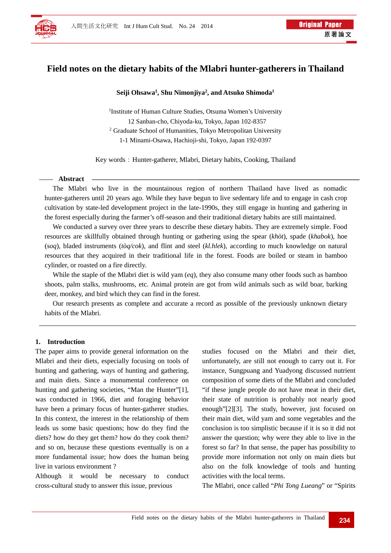

# **Field notes on the dietary habits of the Mlabri hunter-gatherers in Thailand**

#### **Seiji Ohsawa1, Shu Nimonjiya2 , and Atsuko Shimoda1**

<sup>1</sup>Institute of Human Culture Studies, Otsuma Women's University 12 Sanban-cho, Chiyoda-ku, Tokyo, Japan 102-8357 <sup>2</sup> Graduate School of Humanities, Tokyo Metropolitan University 1-1 Minami-Osawa, Hachioji-shi, Tokyo, Japan 192-0397

Key words: Hunter-gatherer, Mlabri, Dietary habits, Cooking, Thailand

## **Abstract**

The Mlabri who live in the mountainous region of northern Thailand have lived as nomadic hunter-gatherers until 20 years ago. While they have begun to live sedentary life and to engage in cash crop cultivation by state-led development project in the late-1990s, they still engage in hunting and gathering in the forest especially during the farmer's off-season and their traditional dietary habits are still maintained.

We conducted a survey over three years to describe these dietary habits. They are extremely simple. Food resources are skillfully obtained through hunting or gathering using the spear (*khòt*), spade (*khabok*), hoe (*soq*), bladed instruments (*tòq/cok*), and flint and steel (*kl.hlek*), according to much knowledge on natural resources that they acquired in their traditional life in the forest. Foods are boiled or steam in bamboo cylinder, or roasted on a fire directly.

While the staple of the Mlabri diet is wild yam (*eq*), they also consume many other foods such as bamboo shoots, palm stalks, mushrooms, etc. Animal protein are got from wild animals such as wild boar, barking deer, monkey, and bird which they can find in the forest.

Our research presents as complete and accurate a record as possible of the previously unknown dietary habits of the Mlabri.

#### **1. Introduction**

The paper aims to provide general information on the Mlabri and their diets, especially focusing on tools of hunting and gathering, ways of hunting and gathering, and main diets. Since a monumental conference on hunting and gathering societies, "Man the Hunter"[1], was conducted in 1966, diet and foraging behavior have been a primary focus of hunter-gatherer studies. In this context, the interest in the relationship of them leads us some basic questions; how do they find the diets? how do they get them? how do they cook them? and so on, because these questions eventually is on a more fundamental issue; how does the human being live in various environment ?

Although it would be necessary to conduct cross-cultural study to answer this issue, previous

studies focused on the Mlabri and their diet, unfortunately, are still not enough to carry out it. For instance, Sungpuang and Yuadyong discussed nutrient composition of some diets of the Mlabri and concluded "if these jungle people do not have meat in their diet, their state of nutrition is probably not nearly good enough"[2][3]. The study, however, just focused on their main diet, wild yam and some vegetables and the conclusion is too simplistic because if it is so it did not answer the question; why were they able to live in the forest so far? In that sense, the paper has possibility to provide more information not only on main diets but also on the folk knowledge of tools and hunting activities with the local terms.

The Mlabri, once called "*Phi Tong Lueang*" or "Spirits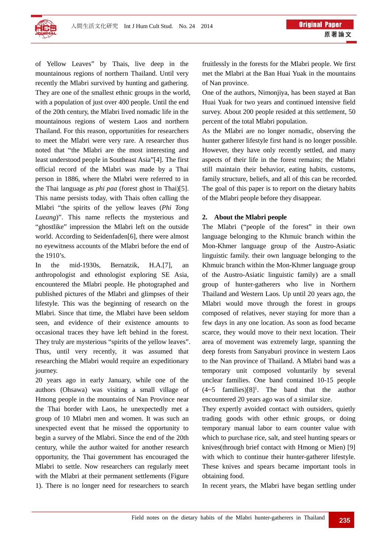

of Yellow Leaves" by Thais, live deep in the mountainous regions of northern Thailand. Until very recently the Mlabri survived by hunting and gathering. They are one of the smallest ethnic groups in the world, with a population of just over 400 people. Until the end of the 20th century, the Mlabri lived nomadic life in the mountainous regions of western Laos and northern Thailand. For this reason, opportunities for researchers to meet the Mlabri were very rare. A researcher thus noted that "the Mlabri are the most interesting and least understood people in Southeast Asia"[4]. The first official record of the Mlabri was made by a Thai person in 1886, where the Mlabri were referred to in the Thai language as *phi paa* (forest ghost in Thai)[5]. This name persists today, with Thais often calling the Mlabri "the spirits of the yellow leaves (*Phi Tong Lueang*)". This name reflects the mysterious and "ghostlike" impression the Mlabri left on the outside world. According to Seidenfaden[6], there were almost no eyewitness accounts of the Mlabri before the end of the 1910's.

In the mid-1930s, Bernatzik, H.A.[7], an anthropologist and ethnologist exploring SE Asia, encountered the Mlabri people. He photographed and published pictures of the Mlabri and glimpses of their lifestyle. This was the beginning of research on the Mlabri. Since that time, the Mlabri have been seldom seen, and evidence of their existence amounts to occasional traces they have left behind in the forest. They truly are mysterious "spirits of the yellow leaves". Thus, until very recently, it was assumed that researching the Mlabri would require an expeditionary journey.

20 years ago in early January, while one of the authors (Ohsawa) was visiting a small village of Hmong people in the mountains of Nan Province near the Thai border with Laos, he unexpectedly met a group of 10 Mlabri men and women. It was such an unexpected event that he missed the opportunity to begin a survey of the Mlabri. Since the end of the 20th century, while the author waited for another research opportunity, the Thai government has encouraged the Mlabri to settle. Now researchers can regularly meet with the Mlabri at their permanent settlements (Figure 1). There is no longer need for researchers to search

fruitlessly in the forests for the Mlabri people. We first met the Mlabri at the Ban Huai Yuak in the mountains of Nan province.

One of the authors, Nimonjiya, has been stayed at Ban Huai Yuak for two years and continued intensive field survey. About 200 people resided at this settlement, 50 percent of the total Mlabri population.

As the Mlabri are no longer nomadic, observing the hunter gatherer lifestyle first hand is no longer possible. However, they have only recently settled, and many aspects of their life in the forest remains; the Mlabri still maintain their behavior, eating habits, customs, family structure, beliefs, and all of this can be recorded. The goal of this paper is to report on the dietary habits of the Mlabri people before they disappear.

#### **2. About the Mlabri people**

The Mlabri ("people of the forest" in their own language belonging to the Khmuic branch within the Mon-Khmer language group of the Austro-Asiatic linguistic family. their own language belonging to the Khmuic branch within the Mon-Khmer language group of the Austro-Asiatic linguistic family) are a small group of hunter-gatherers who live in Northern Thailand and Western Laos. Up until 20 years ago, the Mlabri would move through the forest in groups composed of relatives, never staying for more than a few days in any one location. As soon as food became scarce, they would move to their next location. Their area of movement was extremely large, spanning the deep forests from Sanyaburi province in western Laos to the Nan province of Thailand. A Mlabri band was a temporary unit composed voluntarily by several unclear families. One band contained 10-15 people  $(4~5$  families)[8]<sup>1</sup>. The band that the author encountered 20 years ago was of a similar size.

They expertly avoided contact with outsiders, quietly trading goods with other ethnic groups, or doing temporary manual labor to earn counter value with which to purchase rice, salt, and steel hunting spears or knives(through brief contact with Hmong or Mien) [9] with which to continue their hunter-gatherer lifestyle. These knives and spears became important tools in obtaining food.

In recent years, the Mlabri have began settling under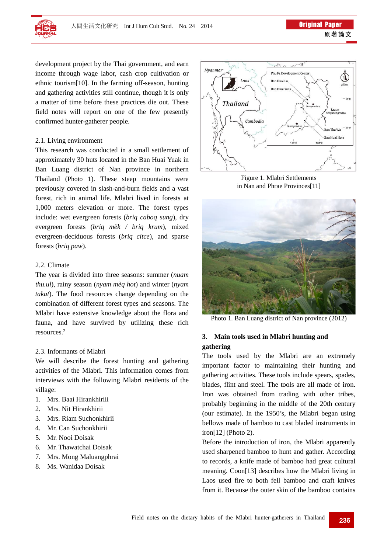

development project by the Thai government, and earn income through wage labor, cash crop cultivation or ethnic tourism[10]. In the farming off-season, hunting and gathering activities still continue, though it is only a matter of time before these practices die out. These field notes will report on one of the few presently confirmed hunter-gatherer people.

#### 2.1. Living environment

This research was conducted in a small settlement of approximately 30 huts located in the Ban Huai Yuak in Ban Luang district of Nan province in northern Thailand (Photo 1). These steep mountains were previously covered in slash-and-burn fields and a vast forest, rich in animal life. Mlabri lived in forests at 1,000 meters elevation or more. The forest types include: wet evergreen forests (*briq caboq sung*), dry evergreen forests (*briq mëk / briq krum*), mixed evergreen-deciduous forests (*briq citce*), and sparse forests (*briq paw*).

#### 2.2. Climate

The year is divided into three seasons: summer (*nuam thu.ul*), rainy season (*nyam mèq hot*) and winter (*nyam takat*). The food resources change depending on the combination of different forest types and seasons. The Mlabri have extensive knowledge about the flora and fauna, and have survived by utilizing these rich resources.2

#### 2.3. Informants of Mlabri

We will describe the forest hunting and gathering activities of the Mlabri. This information comes from interviews with the following Mlabri residents of the village:

- 1. Mrs. Baai Hirankhiriii
- 2. Mrs. Nit Hirankhirii
- 3. Mrs. Riam Suchonkhirii
- 4. Mr. Can Suchonkhirii
- 5. Mr. Nooi Doisak
- 6. Mr. Thawatchai Doisak
- 7. Mrs. Mong Maluangphrai
- 8. Ms. Wanidaa Doisak



Figure 1. Mlabri Settlements in Nan and Phrae Provinces[11]



Photo 1. Ban Luang district of Nan province (2012)

### **3. Main tools used in Mlabri hunting and gathering**

The tools used by the Mlabri are an extremely important factor to maintaining their hunting and gathering activities. These tools include spears, spades, blades, flint and steel. The tools are all made of iron. Iron was obtained from trading with other tribes, probably beginning in the middle of the 20th century (our estimate). In the 1950's, the Mlabri began using bellows made of bamboo to cast bladed instruments in iron[12] (Photo 2).

Before the introduction of iron, the Mlabri apparently used sharpened bamboo to hunt and gather. According to records, a knife made of bamboo had great cultural meaning. Coon[13] describes how the Mlabri living in Laos used fire to both fell bamboo and craft knives from it. Because the outer skin of the bamboo contains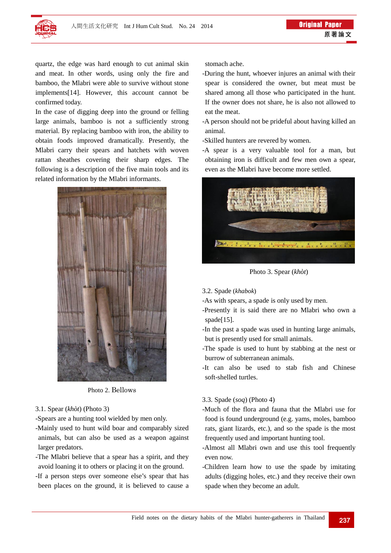

quartz, the edge was hard enough to cut animal skin and meat. In other words, using only the fire and bamboo, the Mlabri were able to survive without stone implements[14]. However, this account cannot be confirmed today.

In the case of digging deep into the ground or felling large animals, bamboo is not a sufficiently strong material. By replacing bamboo with iron, the ability to obtain foods improved dramatically. Presently, the Mlabri carry their spears and hatchets with woven rattan sheathes covering their sharp edges. The following is a description of the five main tools and its related information by the Mlabri informants.



Photo 2. Bellows

#### 3.1. Spear (*khòt*) (Photo 3)

- -Spears are a hunting tool wielded by men only.
- -Mainly used to hunt wild boar and comparably sized animals, but can also be used as a weapon against larger predators.
- -The Mlabri believe that a spear has a spirit, and they avoid loaning it to others or placing it on the ground.
- -If a person steps over someone else's spear that has been places on the ground, it is believed to cause a

stomach ache.

- -During the hunt, whoever injures an animal with their spear is considered the owner, but meat must be shared among all those who participated in the hunt. If the owner does not share, he is also not allowed to eat the meat.
- -A person should not be prideful about having killed an animal.

-Skilled hunters are revered by women.

-A spear is a very valuable tool for a man, but obtaining iron is difficult and few men own a spear, even as the Mlabri have become more settled.



Photo 3. Spear (*khòt*)

- 3.2. Spade (*khabok*)
- -As with spears, a spade is only used by men.
- -Presently it is said there are no Mlabri who own a spade[15].
- -In the past a spade was used in hunting large animals, but is presently used for small animals.
- -The spade is used to hunt by stabbing at the nest or burrow of subterranean animals.
- -It can also be used to stab fish and Chinese soft-shelled turtles.

#### 3.3. Spade (*soq*) (Photo 4)

- -Much of the flora and fauna that the Mlabri use for food is found underground (e.g. yams, moles, bamboo rats, giant lizards, etc.), and so the spade is the most frequently used and important hunting tool.
- -Almost all Mlabri own and use this tool frequently even now.
- -Children learn how to use the spade by imitating adults (digging holes, etc.) and they receive their own spade when they become an adult.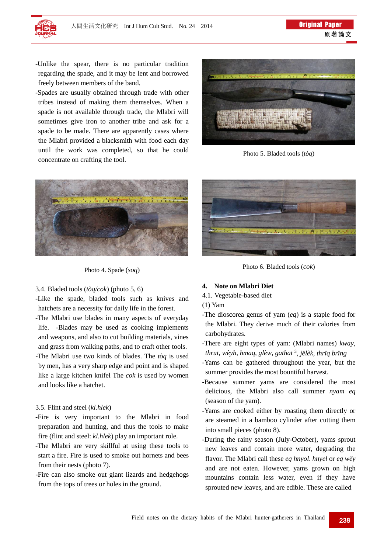-Unlike the spear, there is no particular tradition regarding the spade, and it may be lent and borrowed freely between members of the band.

-Spades are usually obtained through trade with other tribes instead of making them themselves. When a spade is not available through trade, the Mlabri will sometimes give iron to another tribe and ask for a spade to be made. There are apparently cases where the Mlabri provided a blacksmith with food each day until the work was completed, so that he could concentrate on crafting the tool.



Photo 4. Spade (*soq*)

#### 3.4. Bladed tools (*tòq/cok*) (photo 5, 6)

-Like the spade, bladed tools such as knives and hatchets are a necessity for daily life in the forest.

- -The Mlabri use blades in many aspects of everyday life. -Blades may be used as cooking implements and weapons, and also to cut building materials, vines and grass from walking paths, and to craft other tools.
- -The Mlabri use two kinds of blades. The *tòq* is used by men, has a very sharp edge and point and is shaped like a large kitchen knifel The *cok* is used by women and looks like a hatchet.

#### 3.5. Flint and steel (*kl.hlek*)

- -Fire is very important to the Mlabri in food preparation and hunting, and thus the tools to make fire (flint and steel: *kl.hlek*) play an important role.
- -The Mlabri are very skillful at using these tools to start a fire. Fire is used to smoke out hornets and bees from their nests (photo 7).
- -Fire can also smoke out giant lizards and hedgehogs from the tops of trees or holes in the ground.



Photo 5. Bladed tools (*tòq*)



Photo 6. Bladed tools (*cok*)

#### **4. Note on Mlabri Diet**

- 4.1. Vegetable-based diet
- (1) Yam
- -The dioscorea genus of yam (*eq*) is a staple food for the Mlabri. They derive much of their calories from carbohydrates.
- -There are eight types of yam: (Mlabri names) *kway*, *thrut*, *wèyh*, *hmaq*, *glèw*, *gathat* 3, *jëlèk*, *thrïq brïng*
- -Yams can be gathered throughout the year, but the summer provides the most bountiful harvest.
- -Because summer yams are considered the most delicious, the Mlabri also call summer *nyam eq* (season of the yam).
- -Yams are cooked either by roasting them directly or are steamed in a bamboo cylinder after cutting them into small pieces (photo 8).
- -During the rainy season (July-October), yams sprout new leaves and contain more water, degrading the flavor. The Mlabri call these *eq hnyol*. *hnyel* or *eq wëy* and are not eaten. However, yams grown on high mountains contain less water, even if they have sprouted new leaves, and are edible. These are called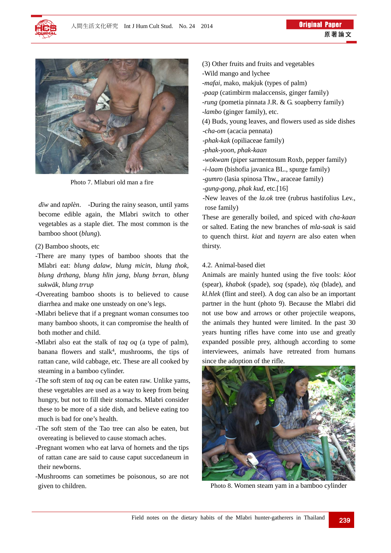



Photo 7. Mlaburi old man a fire

*dïw* and *taplèn*. -During the rainy season, until yams become edible again, the Mlabri switch to other vegetables as a staple diet. The most common is the bamboo shoot (*blung*).

- (2) Bamboo shoots, etc
- -There are many types of bamboo shoots that the Mlabri eat: *blung dalaw*, *blung micin*, *blung thok*, *blung drthang*, *blung hlïn jang*, *blung brran*, *blung sukwäk*, *blung trrup*
- -Overeating bamboo shoots is to believed to cause diarrhea and make one unsteady on one's legs.
- -Mlabri believe that if a pregnant woman consumes too many bamboo shoots, it can compromise the health of both mother and child.
- -Mlabri also eat the stalk of *taq oq* (a type of palm), banana flowers and stalk<sup>4</sup>, mushrooms, the tips of rattan cane, wild cabbage, etc. These are all cooked by steaming in a bamboo cylinder.
- -The soft stem of *taq oq* can be eaten raw. Unlike yams, these vegetables are used as a way to keep from being hungry, but not to fill their stomachs. Mlabri consider these to be more of a side dish, and believe eating too much is bad for one's health.
- -The soft stem of the Tao tree can also be eaten, but overeating is believed to cause stomach aches.
- -Pregnant women who eat larva of hornets and the tips of rattan cane are said to cause caput succedaneum in their newborns.
- -Mushrooms can sometimes be poisonous, so are not given to children.

(3) Other fruits and fruits and vegetables -Wild mango and lychee -*mafai*, mako, makjuk (types of palm) -*paap* (catimbirm malaccensis, ginger family) -*rung* (pometia pinnata J.R. & G. soapberry family) -*lambo* (ginger family), etc. (4) Buds, young leaves, and flowers used as side dishes -*cha-om* (acacia pennata) -*phak-kak* (opiliaceae family) -*phak-yoon*, *phak-kaan* -*wokwam* (piper sarmentosum Roxb, pepper family) -*i-laam* (bishofia javanica BL., spurge family) -*gumro* (lasia spinosa Thw., araceae family) -*gung-gong, phak kud*, etc.[16] -New leaves of the *la.ok* tree (rubrus hastifolius Lev., rose family)

These are generally boiled, and spiced with *cha-kaan*  or salted. Eating the new branches of *mla-saak* is said to quench thirst. *kiat* and *tayern* are also eaten when thirsty.

#### 4.2. Animal-based diet

Animals are mainly hunted using the five tools: *kòot* (spear), *khabok* (spade), *soq* (spade), *tòq* (blade), and *kl.hlek* (flint and steel). A dog can also be an important partner in the hunt (photo 9). Because the Mlabri did not use bow and arrows or other projectile weapons, the animals they hunted were limited. In the past 30 years hunting rifles have come into use and greatly expanded possible prey, although according to some interviewees, animals have retreated from humans since the adoption of the rifle.



Photo 8. Women steam yam in a bamboo cylinder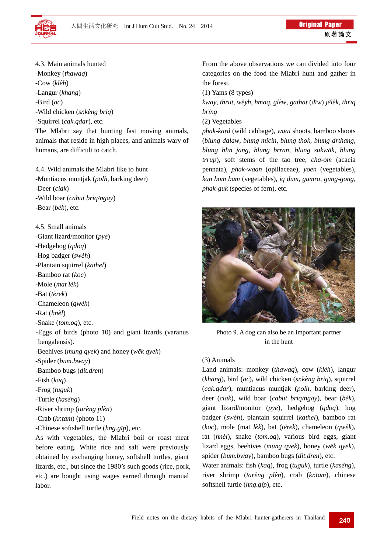

- 4.3. Main animals hunted -Monkey (*thawaq*)
- -Cow (*klèh*)
- -Langur (*khang*)
- -Bird (*ac*)
- -Wild chicken (*sr.kèng briq*)
- -Squirrel (*cak.qdar*), etc.

The Mlabri say that hunting fast moving animals, animals that reside in high places, and animals wary of humans, are difficult to catch.

4.4. Wild animals the Mlabri like to hunt -Muntiacus muntjak (*polh*, barking deer) -Deer (*ciak*) -Wild boar (*cabut briq/ngay*) -Bear (*bèk*), etc.

4.5. Small animals

-Giant lizard/monitor (*pye*)

-Hedgehog (*qdoq*) -Hog badger (*swèh*)

-Plantain squirrel (*kathel*)

-Bamboo rat (*koc*)

-Mole (*mat lèk*)

-Bat (*tërek*)

-Chameleon (*qwèk*)

-Rat (*hnèl*)

-Snake (*tom.oq*), etc.

-Eggs of birds (photo 10) and giant lizards (varanus bengalensis).

-Beehives (*mung qyek*) and honey (*wëk qyek*)

- -Spider (*bum.bway*)
- -Bamboo bugs (*dit.dren*)
- -Fish (*kaq*)
- -Frog (*tuguk*)
- -Turtle (*kasëng*)
- -River shrimp (*tarèng plèn*)
- -Crab (*kr.tam*) (photo 11)
- -Chinese softshell turtle (*hng.gïp*), etc.

As with vegetables, the Mlabri boil or roast meat before eating. White rice and salt were previously obtained by exchanging honey, softshell turtles, giant lizards, etc., but since the 1980's such goods (rice, pork, etc.) are bought using wages earned through manual labor.

From the above observations we can divided into four categories on the food the Mlabri hunt and gather in the forest.

(1) Yams (8 types)

*kway*, *thrut*, *wèyh*, *hmaq*, *glèw*, *gathat* (*dïw*) *jëlèk*, *thrïq brïng*

(2) Vegetables

*phak-kard* (wild cabbage), *waai* shoots, bamboo shoots (*blung dalaw*, *blung micin*, *blung thok*, *blung drthang*, *blung hlïn jang*, *blung brran*, *blung sukwäk*, *blung trrup*), soft stems of the tao tree, *cha-om* (acacia pennata), *phak-waan* (opillaceae), *yoen* (vegetables), *kan bom bam* (vegetables), *iq dum*, *gumro*, *gung-gong*, *phak-guk* (species of fern), etc.



Photo 9. A dog can also be an important partner in the hunt

# (3) Animals

Land animals: monkey (*thawaq*), cow (*klèh*), langur (*khang*), bird (*ac*), wild chicken (*sr.kèng briq*), squirrel (*cak.qdar*), muntiacus muntjak (*polh*, barking deer), deer (*ciak*), wild boar (*cabut briq/ngay*), bear (*bèk*), giant lizard/monitor (*pye*), hedgehog (*qdoq*), hog badger (*swèh*), plantain squirrel (*kathel*), bamboo rat (*koc*), mole (mat *lèk*), bat (*tërek*), chameleon (*qwèk*), rat (*hnèl*), snake (*tom.oq*), various bird eggs, giant lizard eggs, beehives (*mung qyek*), honey (*wëk qyek*), spider (*bum.bway*), bamboo bugs (*dit.dren*), etc.

Water animals: fish (*kaq*), frog (*tuguk*), turtle (*kasëng*), river shrimp (*tarèng plèn*), crab (*kr.tam*), chinese softshell turtle (*hng.gïp*), etc.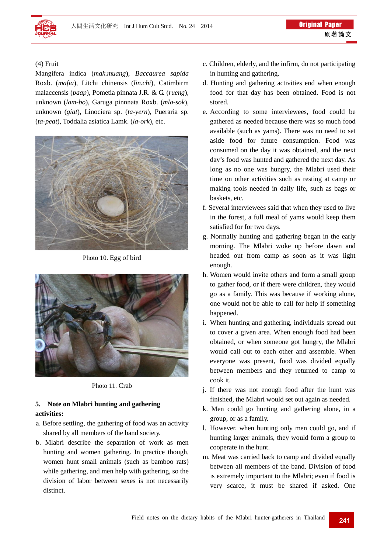

### (4) Fruit

Mangifera indica (*mak.muang*), *Baccaurea sapida* Roxb. (*mafia*), Litchi chinensis (*lin.chi*), Catimbirm malaccensis (*paap*), Pometia pinnata J.R. & G. (*rueng*), unknown (*lam-bo*), Garuga pinnnata Roxb. (*mla-sok*), unknown (*giat*), Linociera sp. (*ta-yern*), Pueraria sp. (*ta-peat*), Toddalia asiatica Lamk. (*la-ork*), etc.



Photo 10. Egg of bird



Photo 11. Crab

#### **5. Note on Mlabri hunting and gathering activities:**

- a. Before settling, the gathering of food was an activity shared by all members of the band society.
- b. Mlabri describe the separation of work as men hunting and women gathering. In practice though, women hunt small animals (such as bamboo rats) while gathering, and men help with gathering, so the division of labor between sexes is not necessarily distinct.
- c. Children, elderly, and the infirm, do not participating in hunting and gathering.
- d. Hunting and gathering activities end when enough food for that day has been obtained. Food is not stored.
- e. According to some interviewees, food could be gathered as needed because there was so much food available (such as yams). There was no need to set aside food for future consumption. Food was consumed on the day it was obtained, and the next day's food was hunted and gathered the next day. As long as no one was hungry, the Mlabri used their time on other activities such as resting at camp or making tools needed in daily life, such as bags or baskets, etc.
- f. Several interviewees said that when they used to live in the forest, a full meal of yams would keep them satisfied for for two days.
- g. Normally hunting and gathering began in the early morning. The Mlabri woke up before dawn and headed out from camp as soon as it was light enough.
- h. Women would invite others and form a small group to gather food, or if there were children, they would go as a family. This was because if working alone, one would not be able to call for help if something happened.
- i. When hunting and gathering, individuals spread out to cover a given area. When enough food had been obtained, or when someone got hungry, the Mlabri would call out to each other and assemble. When everyone was present, food was divided equally between members and they returned to camp to cook it.
- j. If there was not enough food after the hunt was finished, the Mlabri would set out again as needed.
- k. Men could go hunting and gathering alone, in a group, or as a family.
- l. However, when hunting only men could go, and if hunting larger animals, they would form a group to cooperate in the hunt.
- m. Meat was carried back to camp and divided equally between all members of the band. Division of food is extremely important to the Mlabri; even if food is very scarce, it must be shared if asked. One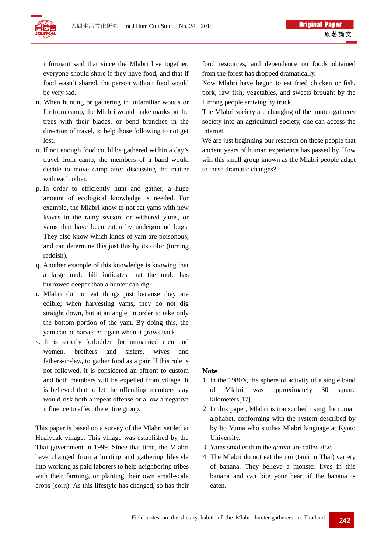

informant said that since the Mlabri live together, everyone should share if they have food, and that if food wasn't shared, the person without food would be very sad.

- n. When hunting or gathering in unfamiliar woods or far from camp, the Mlabri would make marks on the trees with their blades, or bend branches in the direction of travel, to help those following to not get lost.
- o. If not enough food could be gathered within a day's travel from camp, the members of a band would decide to move camp after discussing the matter with each other.
- p. In order to efficiently hunt and gather, a huge amount of ecological knowledge is needed. For example, the Mlabri know to not eat yams with new leaves in the rainy season, or withered yams, or yams that have been eaten by underground bugs. They also know which kinds of yam are poisonous, and can determine this just this by its color (turning reddish).
- q. Another example of this knowledge is knowing that a large mole hill indicates that the mole has burrowed deeper than a hunter can dig.
- r. Mlabri do not eat things just because they are edible; when harvesting yams, they do not dig straight down, but at an angle, in order to take only the bottom portion of the yam. By doing this, the yam can be harvested again when it grows back.
- s. It is strictly forbidden for unmarried men and women, brothers and sisters, wives and fathers-in-law, to gather food as a pair. If this rule is not followed, it is considered an affront to custom and both members will be expelled from village. It is believed that to let the offending members stay would risk both a repeat offense or allow a negative influence to affect the entire group.

This paper is based on a survey of the Mlabri settled at Huaiyuak village. This village was established by the Thai government in 1999. Since that time, the Mlabri have changed from a hunting and gathering lifestyle into working as paid laborers to help neighboring tribes with their farming, or planting their own small-scale crops (corn). As this lifestyle has changed, so has their

food resources, and dependence on foods obtained from the forest has dropped dramatically.

Now Mlabri have begun to eat fried chicken or fish, pork, raw fish, vegetables, and sweets brought by the Hmong people arriving by truck.

The Mlabri society are changing of the hunter-gatherer society into an agricultural society, one can access the internet.

We are just beginning our research on these people that ancient years of human experience has passed by. How will this small group known as the Mlabri people adapt to these dramatic changes?

### Note

- 1 In the 1980's, the sphere of activity of a single band of Mlabri was approximately 30 square kilometers[17].
- 2 In this paper, Mlabri is transcribed using the roman alphabet, conforming with the system described by by Ito Yuma who studies Mlabri language at Kyoto University.
- 3 Yams smaller than the *gathat* are called *dïw*.
- 4 The Mlabri do not eat the noi (tanii in Thai) variety of banana. They believe a monster lives in this banana and can bite your heart if the banana is eaten.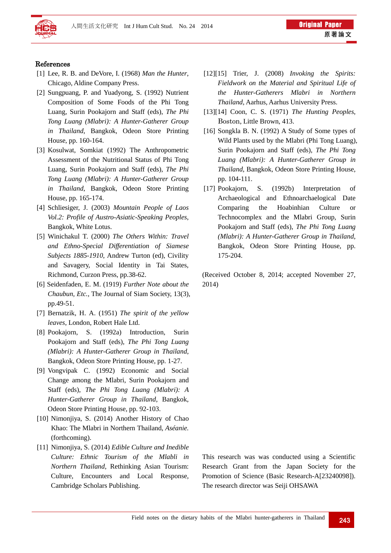

#### References

- [1] Lee, R. B. and DeVore, I. (1968) *Man the Hunter*, Chicago, Aldine Company Press.
- [2] Sungpuang, P. and Yuadyong, S. (1992) Nutrient Composition of Some Foods of the Phi Tong Luang, Surin Pookajorn and Staff (eds), *The Phi Tong Luang (Mlabri): A Hunter-Gatherer Group in Thailand*, Bangkok, Odeon Store Printing House, pp. 160-164.
- [3] Kosulwat, Somkiat (1992) The Anthropometric Assessment of the Nutritional Status of Phi Tong Luang, Surin Pookajorn and Staff (eds), *The Phi Tong Luang (Mlabri): A Hunter-Gatherer Group in Thailand*, Bangkok, Odeon Store Printing House, pp. 165-174.
- [4] Schliesiger, J. (2003) *Mountain People of Laos Vol.2: Profile of Austro-Asiatic-Speaking Peoples*, Bangkok, White Lotus.
- [5] Winichakul T. (2000) *The Others Within: Travel and Ethno-Special Differentiation of Siamese Subjects 1885-1910*, Andrew Turton (ed), Civility and Savagery, Social Identity in Tai States, Richmond, Curzon Press, pp.38-62.
- [6] Seidenfaden, E. M. (1919) *Further Note about the Chaubun, Etc.*, The Journal of Siam Society, 13(3), pp.49-51.
- [7] Bernatzik, H. A. (1951) *The spirit of the yellow leaves*, London, Robert Hale Ltd.
- [8] Pookajorn, S. (1992a) Introduction, Surin Pookajorn and Staff (eds), *The Phi Tong Luang (Mlabri): A Hunter-Gatherer Group in Thailand*, Bangkok, Odeon Store Printing House, pp. 1-27.
- [9] Vongvipak C. (1992) Economic and Social Change among the Mlabri, Surin Pookajorn and Staff (eds), *The Phi Tong Luang (Mlabri): A Hunter-Gatherer Group in Thailand*, Bangkok, Odeon Store Printing House, pp. 92-103.
- [10] Nimonjiya, S. (2014) Another History of Chao Khao: The Mlabri in Northern Thailand, *Aséanie.*  (forthcoming).
- [11] Nimonjiya, S. (2014) *Edible Culture and Inedible Culture: Ethnic Tourism of the Mlabli in Northern Thailand*, Rethinking Asian Tourism: Culture, Encounters and Local Response, Cambridge Scholars Publishing.
- [12][15] Trier, J. (2008) *Invoking the Spirits: Fieldwork on the Material and Spiritual Life of the Hunter-Gatherers Mlabri in Northern Thailand*, Aarhus, Aarhus University Press.
- [13][14] Coon, C. S. (1971) *The Hunting Peoples*, Boston, Little Brown, 413.
- [16] Songkla B. N. (1992) A Study of Some types of Wild Plants used by the Mlabri (Phi Tong Luang), Surin Pookajorn and Staff (eds), *The Phi Tong Luang (Mlabri): A Hunter-Gatherer Group in Thailand*, Bangkok, Odeon Store Printing House, pp. 104-111.
- [17] Pookajorn, S. (1992b) Interpretation of Archaeological and Ethnoarchaelogical Date Comparing the Hoabinhian Culture or Technocomplex and the Mlabri Group, Surin Pookajorn and Staff (eds), *The Phi Tong Luang (Mlabri): A Hunter-Gatherer Group in Thailand*, Bangkok, Odeon Store Printing House, pp. 175-204.

(Received October 8, 2014; accepted November 27, 2014)

This research was was conducted using a Scientific Research Grant from the Japan Society for the Promotion of Science (Basic Research-A[23240098]). The research director was Seiji OHSAWA